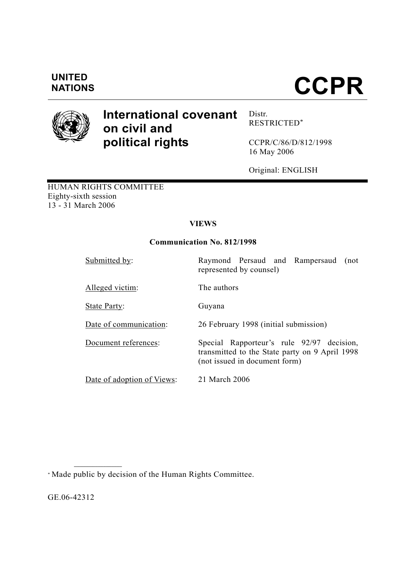## **UNITED**

# **NATIONS CCPR**



### **International covenant on civil and political rights**

Distr. RESTRICTED\*

CCPR/C/86/D/812/1998 16 May 2006

Original: ENGLISH

HUMAN RIGHTS COMMITTEE Eighty-sixth session 13 - 31 March 2006

#### **VIEWS**

#### **Communication No. 812/1998**

| Submitted by:              | Raymond Persaud and Rampersaud<br>(not<br>represented by counsel)                                                            |
|----------------------------|------------------------------------------------------------------------------------------------------------------------------|
| Alleged victim:            | The authors                                                                                                                  |
| <b>State Party:</b>        | Guyana                                                                                                                       |
| Date of communication:     | 26 February 1998 (initial submission)                                                                                        |
| Document references:       | Special Rapporteur's rule 92/97 decision,<br>transmitted to the State party on 9 April 1998<br>(not issued in document form) |
| Date of adoption of Views: | 21 March 2006                                                                                                                |

\* Made public by decision of the Human Rights Committee.

GE.06-42312

**\_\_\_\_\_\_\_\_\_\_\_\_\_\_\_\_\_\_**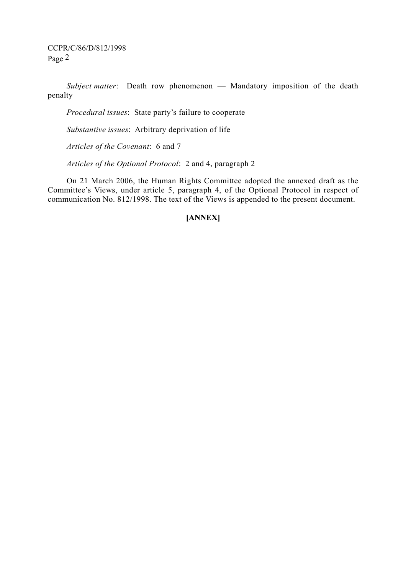CCPR/C/86/D/812/1998 Page 2

*Subject matter*: Death row phenomenon — Mandatory imposition of the death penalty

*Procedural issues*: State party's failure to cooperate

*Substantive issues*: Arbitrary deprivation of life

*Articles of the Covenant*: 6 and 7

*Articles of the Optional Protocol*: 2 and 4, paragraph 2

 On 21 March 2006, the Human Rights Committee adopted the annexed draft as the Committee's Views, under article 5, paragraph 4, of the Optional Protocol in respect of communication No. 812/1998. The text of the Views is appended to the present document.

#### **[ANNEX]**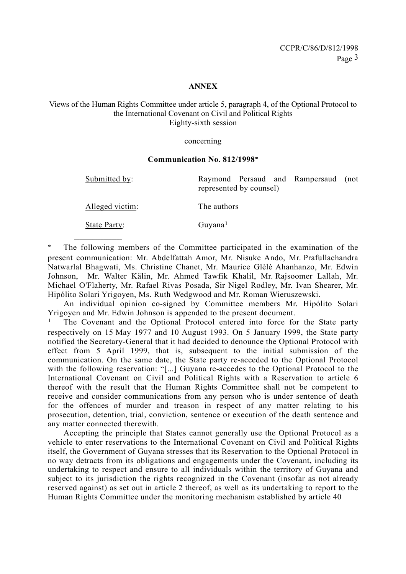#### **ANNEX**

#### Views of the Human Rights Committee under article 5, paragraph 4, of the Optional Protocol to the International Covenant on Civil and Political Rights Eighty-sixth session

#### concerning

#### **Communication No. 812/1998**∗

**\_\_\_\_\_\_\_\_\_\_\_\_\_\_\_\_\_\_** 

Submitted by: Raymond Persaud and Rampersaud (not represented by counsel)

Alleged victim: The authors

State Party: Guyana<sup>1</sup>

The following members of the Committee participated in the examination of the present communication: Mr. Abdelfattah Amor, Mr. Nisuke Ando, Mr. Prafullachandra Natwarlal Bhagwati, Ms. Christine Chanet, Mr. Maurice Glèlè Ahanhanzo, Mr. Edwin Johnson, Mr. Walter Kälin, Mr. Ahmed Tawfik Khalil, Mr. Rajsoomer Lallah, Mr. Michael O'Flaherty, Mr. Rafael Rivas Posada, Sir Nigel Rodley, Mr. Ivan Shearer, Mr. Hipólito Solari Yrigoyen, Ms. Ruth Wedgwood and Mr. Roman Wieruszewski.

An individual opinion co-signed by Committee members Mr. Hipólito Solari Yrigoyen and Mr. Edwin Johnson is appended to the present document.

The Covenant and the Optional Protocol entered into force for the State party respectively on 15 May 1977 and 10 August 1993. On 5 January 1999, the State party notified the Secretary-General that it had decided to denounce the Optional Protocol with effect from 5 April 1999, that is, subsequent to the initial submission of the communication. On the same date, the State party re-acceded to the Optional Protocol with the following reservation: "[...] Guyana re-accedes to the Optional Protocol to the International Covenant on Civil and Political Rights with a Reservation to article 6 thereof with the result that the Human Rights Committee shall not be competent to receive and consider communications from any person who is under sentence of death for the offences of murder and treason in respect of any matter relating to his prosecution, detention, trial, conviction, sentence or execution of the death sentence and any matter connected therewith.

 Accepting the principle that States cannot generally use the Optional Protocol as a vehicle to enter reservations to the International Covenant on Civil and Political Rights itself, the Government of Guyana stresses that its Reservation to the Optional Protocol in no way detracts from its obligations and engagements under the Covenant, including its undertaking to respect and ensure to all individuals within the territory of Guyana and subject to its jurisdiction the rights recognized in the Covenant (insofar as not already reserved against) as set out in article 2 thereof, as well as its undertaking to report to the Human Rights Committee under the monitoring mechanism established by article 40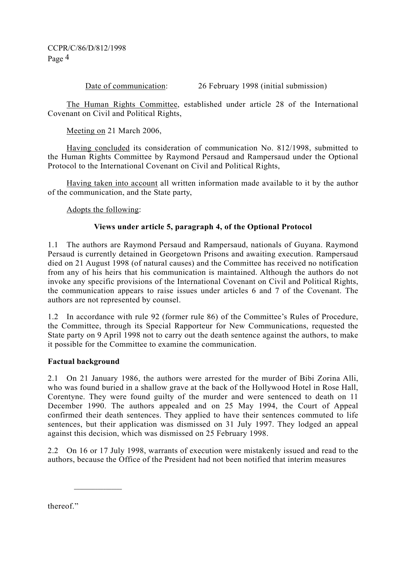Date of communication: 26 February 1998 (initial submission)

 The Human Rights Committee, established under article 28 of the International Covenant on Civil and Political Rights,

Meeting on 21 March 2006,

 Having concluded its consideration of communication No. 812/1998, submitted to the Human Rights Committee by Raymond Persaud and Rampersaud under the Optional Protocol to the International Covenant on Civil and Political Rights,

 Having taken into account all written information made available to it by the author of the communication, and the State party,

Adopts the following:

#### **Views under article 5, paragraph 4, of the Optional Protocol**

1.1 The authors are Raymond Persaud and Rampersaud, nationals of Guyana. Raymond Persaud is currently detained in Georgetown Prisons and awaiting execution. Rampersaud died on 21 August 1998 (of natural causes) and the Committee has received no notification from any of his heirs that his communication is maintained. Although the authors do not invoke any specific provisions of the International Covenant on Civil and Political Rights, the communication appears to raise issues under articles 6 and 7 of the Covenant. The authors are not represented by counsel.

1.2 In accordance with rule 92 (former rule 86) of the Committee's Rules of Procedure, the Committee, through its Special Rapporteur for New Communications, requested the State party on 9 April 1998 not to carry out the death sentence against the authors, to make it possible for the Committee to examine the communication.

#### **Factual background**

**\_\_\_\_\_\_\_\_\_\_\_\_\_\_\_\_\_\_** 

2.1 On 21 January 1986, the authors were arrested for the murder of Bibi Zorina Alli, who was found buried in a shallow grave at the back of the Hollywood Hotel in Rose Hall, Corentyne. They were found guilty of the murder and were sentenced to death on 11 December 1990. The authors appealed and on 25 May 1994, the Court of Appeal confirmed their death sentences. They applied to have their sentences commuted to life sentences, but their application was dismissed on 31 July 1997. They lodged an appeal against this decision, which was dismissed on 25 February 1998.

2.2 On 16 or 17 July 1998, warrants of execution were mistakenly issued and read to the authors, because the Office of the President had not been notified that interim measures

thereof"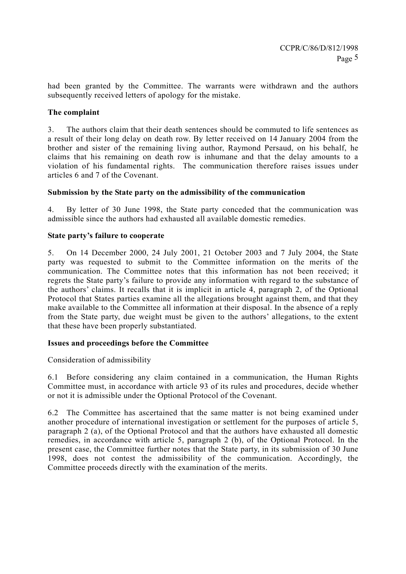had been granted by the Committee. The warrants were withdrawn and the authors subsequently received letters of apology for the mistake.

#### **The complaint**

3. The authors claim that their death sentences should be commuted to life sentences as a result of their long delay on death row. By letter received on 14 January 2004 from the brother and sister of the remaining living author, Raymond Persaud, on his behalf, he claims that his remaining on death row is inhumane and that the delay amounts to a violation of his fundamental rights. The communication therefore raises issues under articles 6 and 7 of the Covenant.

#### **Submission by the State party on the admissibility of the communication**

4. By letter of 30 June 1998, the State party conceded that the communication was admissible since the authors had exhausted all available domestic remedies.

#### **State party's failure to cooperate**

5. On 14 December 2000, 24 July 2001, 21 October 2003 and 7 July 2004, the State party was requested to submit to the Committee information on the merits of the communication. The Committee notes that this information has not been received; it regrets the State party's failure to provide any information with regard to the substance of the authors' claims. It recalls that it is implicit in article 4, paragraph 2, of the Optional Protocol that States parties examine all the allegations brought against them, and that they make available to the Committee all information at their disposal. In the absence of a reply from the State party, due weight must be given to the authors' allegations, to the extent that these have been properly substantiated.

#### **Issues and proceedings before the Committee**

Consideration of admissibility

6.1 Before considering any claim contained in a communication, the Human Rights Committee must, in accordance with article 93 of its rules and procedures, decide whether or not it is admissible under the Optional Protocol of the Covenant.

6.2 The Committee has ascertained that the same matter is not being examined under another procedure of international investigation or settlement for the purposes of article 5, paragraph 2 (a), of the Optional Protocol and that the authors have exhausted all domestic remedies, in accordance with article 5, paragraph 2 (b), of the Optional Protocol. In the present case, the Committee further notes that the State party, in its submission of 30 June 1998, does not contest the admissibility of the communication. Accordingly, the Committee proceeds directly with the examination of the merits.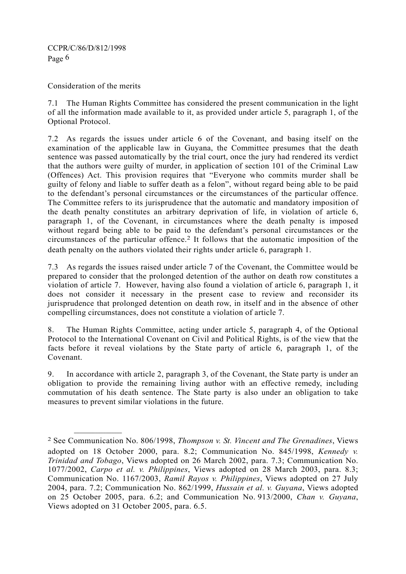Consideration of the merits

**\_\_\_\_\_\_\_\_\_\_\_\_\_\_\_\_\_\_** 

7.1 The Human Rights Committee has considered the present communication in the light of all the information made available to it, as provided under article 5, paragraph 1, of the Optional Protocol.

7.2 As regards the issues under article 6 of the Covenant, and basing itself on the examination of the applicable law in Guyana, the Committee presumes that the death sentence was passed automatically by the trial court, once the jury had rendered its verdict that the authors were guilty of murder, in application of section 101 of the Criminal Law (Offences) Act. This provision requires that "Everyone who commits murder shall be guilty of felony and liable to suffer death as a felon", without regard being able to be paid to the defendant's personal circumstances or the circumstances of the particular offence. The Committee refers to its jurisprudence that the automatic and mandatory imposition of the death penalty constitutes an arbitrary deprivation of life, in violation of article 6, paragraph 1, of the Covenant, in circumstances where the death penalty is imposed without regard being able to be paid to the defendant's personal circumstances or the circumstances of the particular offence.2 It follows that the automatic imposition of the death penalty on the authors violated their rights under article 6, paragraph 1.

7.3 As regards the issues raised under article 7 of the Covenant, the Committee would be prepared to consider that the prolonged detention of the author on death row constitutes a violation of article 7. However, having also found a violation of article 6, paragraph 1, it does not consider it necessary in the present case to review and reconsider its jurisprudence that prolonged detention on death row, in itself and in the absence of other compelling circumstances, does not constitute a violation of article 7.

8. The Human Rights Committee, acting under article 5, paragraph 4, of the Optional Protocol to the International Covenant on Civil and Political Rights, is of the view that the facts before it reveal violations by the State party of article 6, paragraph 1, of the Covenant.

9. In accordance with article 2, paragraph 3, of the Covenant, the State party is under an obligation to provide the remaining living author with an effective remedy, including commutation of his death sentence. The State party is also under an obligation to take measures to prevent similar violations in the future.

<sup>2</sup> See Communication No. 806/1998, *Thompson v. St. Vincent and The Grenadines*, Views adopted on 18 October 2000, para. 8.2; Communication No. 845/1998, *Kennedy v. Trinidad and Tobago*, Views adopted on 26 March 2002, para. 7.3; Communication No. 1077/2002, *Carpo et al. v. Philippines*, Views adopted on 28 March 2003, para. 8.3; Communication No. 1167/2003, *Ramil Rayos v. Philippines*, Views adopted on 27 July 2004, para. 7.2; Communication No. 862/1999, *Hussain et al. v. Guyana*, Views adopted on 25 October 2005, para. 6.2; and Communication No. 913/2000, *Chan v. Guyana*, Views adopted on 31 October 2005, para. 6.5.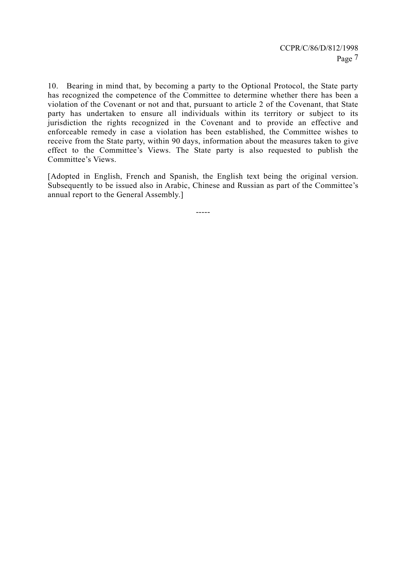10. Bearing in mind that, by becoming a party to the Optional Protocol, the State party has recognized the competence of the Committee to determine whether there has been a violation of the Covenant or not and that, pursuant to article 2 of the Covenant, that State party has undertaken to ensure all individuals within its territory or subject to its jurisdiction the rights recognized in the Covenant and to provide an effective and enforceable remedy in case a violation has been established, the Committee wishes to receive from the State party, within 90 days, information about the measures taken to give effect to the Committee's Views. The State party is also requested to publish the Committee's Views.

[Adopted in English, French and Spanish, the English text being the original version. Subsequently to be issued also in Arabic, Chinese and Russian as part of the Committee's annual report to the General Assembly.]

-----